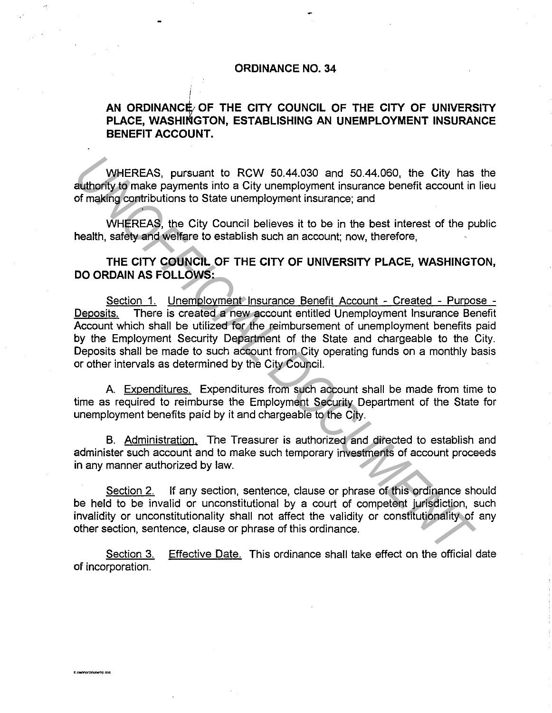## **ORDINANCE NO. 34**

## AN ORDINANCE/ OF THE CITY COUNCIL OF THE CITY OF UNIVERSITY PLACE, WASHINGTON, ESTABLISHING AN UNEMPLOYMENT INSURANCE **BENEFIT ACCOUNT.**

WHEREAS, pursuant to RCW 50.44.030 and 50.44.060, the City has the authority to make payments into a City unemployment insurance benefit account in lieu of making contributions to State unemployment insurance; and

WHEREAS, the City Council believes it to be in the best interest of the public health, safety and welfare to establish such an account; now, therefore,

## **THE CITY COUNCIL OF THE CITY OF UNIVERSITY PLACE, WASHINGTON, DO ORDAIN AS FOLLOWS:**

Section 1. Unemolovment Insurance Benefit Account - Created - Purpose - Deposits. There is created a new account entitled Unemployment Insurance Benefit Account which shall be utilized for the reimbursement of unemployment benefits paid by the Employment Security Department of the State and chargeable to the City. Deposits shall be made to such account from City operating funds on a monthly basis or other intervals as determined by the City Council. WHEREAS, pursuant to RCW 50.44.030 and 50.44.060, the City has<br>
authority to make payments into a City unemployment insurance benefit account in<br>
of making contributions to State unemployment insurance, and<br>
WHEREAS, the C

A. Expenditures. Expenditures from such account shall be made from time to time as required to reimburse the Employment Security Department of the State for unemployment benefits paid by it and chargeable to the City.

B. Administration. The Treasurer is authorized and directed to establish and administer such account and to make such temporary investments of account proceeds in any manner authorized by law.

Section 2. If any section, sentence, clause or phrase of this ordinance should be held to be invalid or unconstitutional by a court of competent jurisdiction, such invalidity or unconstitutionality shall not affect the validity or constitutionality of any other section, sentence, clause or phrase of this ordinance.

Section 3. Effective Date. This ordinance shall take effect on the official date of incorporation.